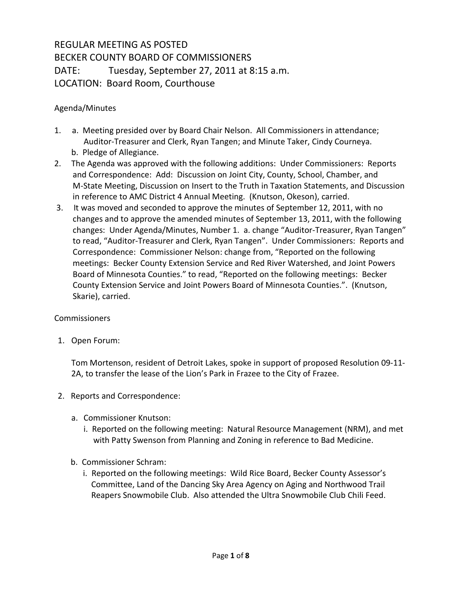## REGULAR MEETING AS POSTED BECKER COUNTY BOARD OF COMMISSIONERS DATE: Tuesday, September 27, 2011 at 8:15 a.m. LOCATION: Board Room, Courthouse

## Agenda/Minutes

- 1. a. Meeting presided over by Board Chair Nelson. All Commissioners in attendance; Auditor-Treasurer and Clerk, Ryan Tangen; and Minute Taker, Cindy Courneya. b. Pledge of Allegiance.
- 2. The Agenda was approved with the following additions: Under Commissioners: Reports and Correspondence: Add: Discussion on Joint City, County, School, Chamber, and M-State Meeting, Discussion on Insert to the Truth in Taxation Statements, and Discussion in reference to AMC District 4 Annual Meeting. (Knutson, Okeson), carried.
- 3. It was moved and seconded to approve the minutes of September 12, 2011, with no changes and to approve the amended minutes of September 13, 2011, with the following changes: Under Agenda/Minutes, Number 1. a. change "Auditor-Treasurer, Ryan Tangen" to read, "Auditor-Treasurer and Clerk, Ryan Tangen". Under Commissioners: Reports and Correspondence: Commissioner Nelson: change from, "Reported on the following meetings: Becker County Extension Service and Red River Watershed, and Joint Powers Board of Minnesota Counties." to read, "Reported on the following meetings: Becker County Extension Service and Joint Powers Board of Minnesota Counties.". (Knutson, Skarie), carried.

## Commissioners

1. Open Forum:

Tom Mortenson, resident of Detroit Lakes, spoke in support of proposed Resolution 09-11- 2A, to transfer the lease of the Lion's Park in Frazee to the City of Frazee.

- 2. Reports and Correspondence:
	- a. Commissioner Knutson:
		- i. Reported on the following meeting: Natural Resource Management (NRM), and met with Patty Swenson from Planning and Zoning in reference to Bad Medicine.
	- b. Commissioner Schram:
		- i. Reported on the following meetings: Wild Rice Board, Becker County Assessor's Committee, Land of the Dancing Sky Area Agency on Aging and Northwood Trail Reapers Snowmobile Club. Also attended the Ultra Snowmobile Club Chili Feed.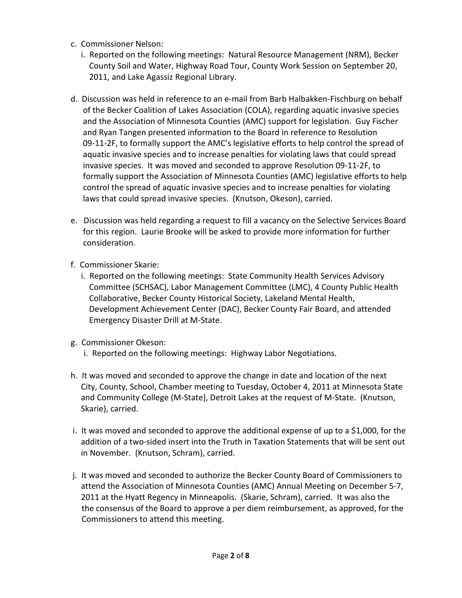- c. Commissioner Nelson:
	- i. Reported on the following meetings: Natural Resource Management (NRM), Becker County Soil and Water, Highway Road Tour, County Work Session on September 20, 2011, and Lake Agassiz Regional Library.
- d. Discussion was held in reference to an e-mail from Barb Halbakken-Fischburg on behalf of the Becker Coalition of Lakes Association (COLA), regarding aquatic invasive species and the Association of Minnesota Counties (AMC) support for legislation. Guy Fischer and Ryan Tangen presented information to the Board in reference to Resolution 09-11-2F, to formally support the AMC's legislative efforts to help control the spread of aquatic invasive species and to increase penalties for violating laws that could spread invasive species. It was moved and seconded to approve Resolution 09-11-2F, to formally support the Association of Minnesota Counties (AMC) legislative efforts to help control the spread of aquatic invasive species and to increase penalties for violating laws that could spread invasive species. (Knutson, Okeson), carried.
- e. Discussion was held regarding a request to fill a vacancy on the Selective Services Board for this region. Laurie Brooke will be asked to provide more information for further consideration.
- f. Commissioner Skarie:
	- i. Reported on the following meetings: State Community Health Services Advisory Committee (SCHSAC), Labor Management Committee (LMC), 4 County Public Health Collaborative, Becker County Historical Society, Lakeland Mental Health, Development Achievement Center (DAC), Becker County Fair Board, and attended Emergency Disaster Drill at M-State.
- g. Commissioner Okeson:
	- i. Reported on the following meetings: Highway Labor Negotiations.
- h. It was moved and seconded to approve the change in date and location of the next City, County, School, Chamber meeting to Tuesday, October 4, 2011 at Minnesota State and Community College (M-State), Detroit Lakes at the request of M-State. (Knutson, Skarie), carried.
- i. It was moved and seconded to approve the additional expense of up to a \$1,000, for the addition of a two-sided insert into the Truth in Taxation Statements that will be sent out in November. (Knutson, Schram), carried.
- j. It was moved and seconded to authorize the Becker County Board of Commissioners to attend the Association of Minnesota Counties (AMC) Annual Meeting on December 5-7, 2011 at the Hyatt Regency in Minneapolis. (Skarie, Schram), carried. It was also the the consensus of the Board to approve a per diem reimbursement, as approved, for the Commissioners to attend this meeting.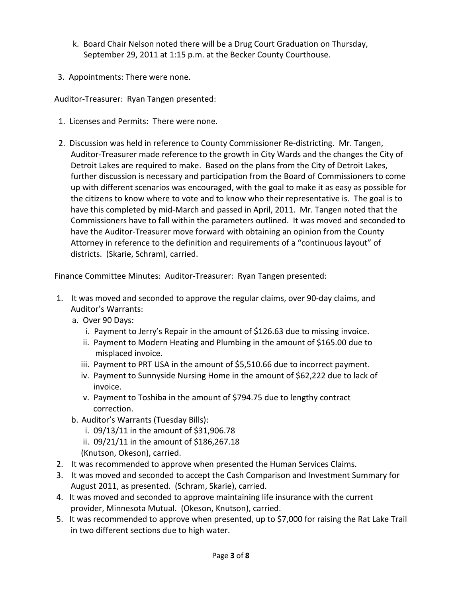- k. Board Chair Nelson noted there will be a Drug Court Graduation on Thursday, September 29, 2011 at 1:15 p.m. at the Becker County Courthouse.
- 3. Appointments: There were none.

Auditor-Treasurer: Ryan Tangen presented:

- 1. Licenses and Permits: There were none.
- 2. Discussion was held in reference to County Commissioner Re-districting. Mr. Tangen, Auditor-Treasurer made reference to the growth in City Wards and the changes the City of Detroit Lakes are required to make. Based on the plans from the City of Detroit Lakes, further discussion is necessary and participation from the Board of Commissioners to come up with different scenarios was encouraged, with the goal to make it as easy as possible for the citizens to know where to vote and to know who their representative is. The goal is to have this completed by mid-March and passed in April, 2011. Mr. Tangen noted that the Commissioners have to fall within the parameters outlined. It was moved and seconded to have the Auditor-Treasurer move forward with obtaining an opinion from the County Attorney in reference to the definition and requirements of a "continuous layout" of districts. (Skarie, Schram), carried.

Finance Committee Minutes: Auditor-Treasurer: Ryan Tangen presented:

- 1. It was moved and seconded to approve the regular claims, over 90-day claims, and Auditor's Warrants:
	- a. Over 90 Days:
		- i. Payment to Jerry's Repair in the amount of \$126.63 due to missing invoice.
		- ii. Payment to Modern Heating and Plumbing in the amount of \$165.00 due to misplaced invoice.
		- iii. Payment to PRT USA in the amount of \$5,510.66 due to incorrect payment.
		- iv. Payment to Sunnyside Nursing Home in the amount of \$62,222 due to lack of invoice.
		- v. Payment to Toshiba in the amount of \$794.75 due to lengthy contract correction.
	- b. Auditor's Warrants (Tuesday Bills):
		- i. 09/13/11 in the amount of \$31,906.78
		- ii. 09/21/11 in the amount of \$186,267.18
		- (Knutson, Okeson), carried.
- 2. It was recommended to approve when presented the Human Services Claims.
- 3. It was moved and seconded to accept the Cash Comparison and Investment Summary for August 2011, as presented. (Schram, Skarie), carried.
- 4. It was moved and seconded to approve maintaining life insurance with the current provider, Minnesota Mutual. (Okeson, Knutson), carried.
- 5. It was recommended to approve when presented, up to \$7,000 for raising the Rat Lake Trail in two different sections due to high water.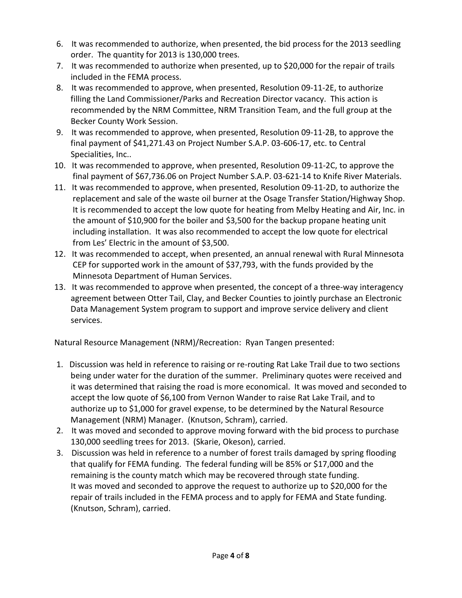- 6. It was recommended to authorize, when presented, the bid process for the 2013 seedling order. The quantity for 2013 is 130,000 trees.
- 7. It was recommended to authorize when presented, up to \$20,000 for the repair of trails included in the FEMA process.
- 8. It was recommended to approve, when presented, Resolution 09-11-2E, to authorize filling the Land Commissioner/Parks and Recreation Director vacancy. This action is recommended by the NRM Committee, NRM Transition Team, and the full group at the Becker County Work Session.
- 9. It was recommended to approve, when presented, Resolution 09-11-2B, to approve the final payment of \$41,271.43 on Project Number S.A.P. 03-606-17, etc. to Central Specialities, Inc..
- 10. It was recommended to approve, when presented, Resolution 09-11-2C, to approve the final payment of \$67,736.06 on Project Number S.A.P. 03-621-14 to Knife River Materials.
- 11. It was recommended to approve, when presented, Resolution 09-11-2D, to authorize the replacement and sale of the waste oil burner at the Osage Transfer Station/Highway Shop. It is recommended to accept the low quote for heating from Melby Heating and Air, Inc. in the amount of \$10,900 for the boiler and \$3,500 for the backup propane heating unit including installation. It was also recommended to accept the low quote for electrical from Les' Electric in the amount of \$3,500.
- 12. It was recommended to accept, when presented, an annual renewal with Rural Minnesota CEP for supported work in the amount of \$37,793, with the funds provided by the Minnesota Department of Human Services.
- 13. It was recommended to approve when presented, the concept of a three-way interagency agreement between Otter Tail, Clay, and Becker Counties to jointly purchase an Electronic Data Management System program to support and improve service delivery and client services.

Natural Resource Management (NRM)/Recreation: Ryan Tangen presented:

- 1. Discussion was held in reference to raising or re-routing Rat Lake Trail due to two sections being under water for the duration of the summer. Preliminary quotes were received and it was determined that raising the road is more economical. It was moved and seconded to accept the low quote of \$6,100 from Vernon Wander to raise Rat Lake Trail, and to authorize up to \$1,000 for gravel expense, to be determined by the Natural Resource Management (NRM) Manager. (Knutson, Schram), carried.
- 2. It was moved and seconded to approve moving forward with the bid process to purchase 130,000 seedling trees for 2013. (Skarie, Okeson), carried.
- 3. Discussion was held in reference to a number of forest trails damaged by spring flooding that qualify for FEMA funding. The federal funding will be 85% or \$17,000 and the remaining is the county match which may be recovered through state funding. It was moved and seconded to approve the request to authorize up to \$20,000 for the repair of trails included in the FEMA process and to apply for FEMA and State funding. (Knutson, Schram), carried.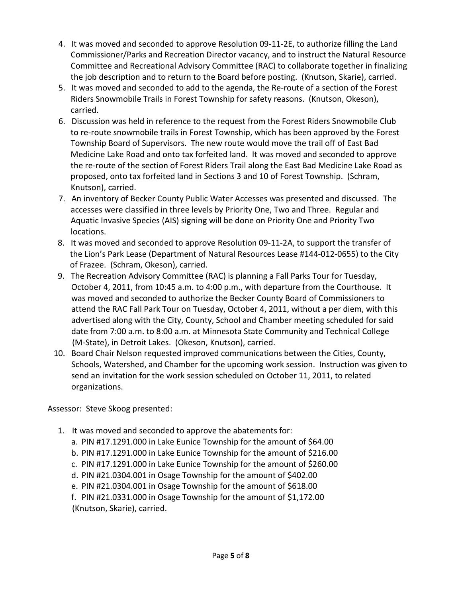- 4. It was moved and seconded to approve Resolution 09-11-2E, to authorize filling the Land Commissioner/Parks and Recreation Director vacancy, and to instruct the Natural Resource Committee and Recreational Advisory Committee (RAC) to collaborate together in finalizing the job description and to return to the Board before posting. (Knutson, Skarie), carried.
- 5. It was moved and seconded to add to the agenda, the Re-route of a section of the Forest Riders Snowmobile Trails in Forest Township for safety reasons. (Knutson, Okeson), carried.
- 6.Discussion was held in reference to the request from the Forest Riders Snowmobile Club to re-route snowmobile trails in Forest Township, which has been approved by the Forest Township Board of Supervisors. The new route would move the trail off of East Bad Medicine Lake Road and onto tax forfeited land. It was moved and seconded to approve the re-route of the section of Forest Riders Trail along the East Bad Medicine Lake Road as proposed, onto tax forfeited land in Sections 3 and 10 of Forest Township. (Schram, Knutson), carried.
- 7. An inventory of Becker County Public Water Accesses was presented and discussed. The accesses were classified in three levels by Priority One, Two and Three. Regular and Aquatic Invasive Species (AIS) signing will be done on Priority One and Priority Two locations.
- 8. It was moved and seconded to approve Resolution 09-11-2A, to support the transfer of the Lion's Park Lease (Department of Natural Resources Lease #144-012-0655) to the City of Frazee. (Schram, Okeson), carried.
- 9. The Recreation Advisory Committee (RAC) is planning a Fall Parks Tour for Tuesday, October 4, 2011, from 10:45 a.m. to 4:00 p.m., with departure from the Courthouse. It was moved and seconded to authorize the Becker County Board of Commissioners to attend the RAC Fall Park Tour on Tuesday, October 4, 2011, without a per diem, with this advertised along with the City, County, School and Chamber meeting scheduled for said date from 7:00 a.m. to 8:00 a.m. at Minnesota State Community and Technical College (M-State), in Detroit Lakes. (Okeson, Knutson), carried.
- 10. Board Chair Nelson requested improved communications between the Cities, County, Schools, Watershed, and Chamber for the upcoming work session. Instruction was given to send an invitation for the work session scheduled on October 11, 2011, to related organizations.

Assessor: Steve Skoog presented:

- 1. It was moved and seconded to approve the abatements for:
	- a. PIN #17.1291.000 in Lake Eunice Township for the amount of \$64.00
	- b. PIN #17.1291.000 in Lake Eunice Township for the amount of \$216.00
	- c. PIN #17.1291.000 in Lake Eunice Township for the amount of \$260.00
	- d. PIN #21.0304.001 in Osage Township for the amount of \$402.00
	- e. PIN #21.0304.001 in Osage Township for the amount of \$618.00
	- f. PIN #21.0331.000 in Osage Township for the amount of \$1,172.00 (Knutson, Skarie), carried.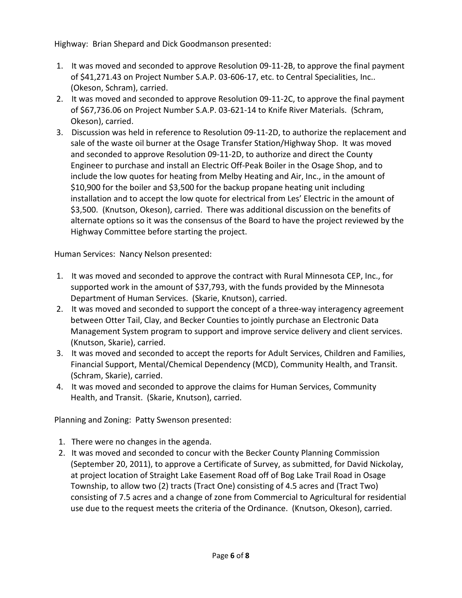Highway: Brian Shepard and Dick Goodmanson presented:

- 1. It was moved and seconded to approve Resolution 09-11-2B, to approve the final payment of \$41,271.43 on Project Number S.A.P. 03-606-17, etc. to Central Specialities, Inc.. (Okeson, Schram), carried.
- 2. It was moved and seconded to approve Resolution 09-11-2C, to approve the final payment of \$67,736.06 on Project Number S.A.P. 03-621-14 to Knife River Materials. (Schram, Okeson), carried.
- 3. Discussion was held in reference to Resolution 09-11-2D, to authorize the replacement and sale of the waste oil burner at the Osage Transfer Station/Highway Shop. It was moved and seconded to approve Resolution 09-11-2D, to authorize and direct the County Engineer to purchase and install an Electric Off-Peak Boiler in the Osage Shop, and to include the low quotes for heating from Melby Heating and Air, Inc., in the amount of \$10,900 for the boiler and \$3,500 for the backup propane heating unit including installation and to accept the low quote for electrical from Les' Electric in the amount of \$3,500. (Knutson, Okeson), carried. There was additional discussion on the benefits of alternate options so it was the consensus of the Board to have the project reviewed by the Highway Committee before starting the project.

Human Services: Nancy Nelson presented:

- 1. It was moved and seconded to approve the contract with Rural Minnesota CEP, Inc., for supported work in the amount of \$37,793, with the funds provided by the Minnesota Department of Human Services. (Skarie, Knutson), carried.
- 2. It was moved and seconded to support the concept of a three-way interagency agreement between Otter Tail, Clay, and Becker Counties to jointly purchase an Electronic Data Management System program to support and improve service delivery and client services. (Knutson, Skarie), carried.
- 3. It was moved and seconded to accept the reports for Adult Services, Children and Families, Financial Support, Mental/Chemical Dependency (MCD), Community Health, and Transit. (Schram, Skarie), carried.
- 4. It was moved and seconded to approve the claims for Human Services, Community Health, and Transit. (Skarie, Knutson), carried.

Planning and Zoning: Patty Swenson presented:

- 1. There were no changes in the agenda.
- 2. It was moved and seconded to concur with the Becker County Planning Commission (September 20, 2011), to approve a Certificate of Survey, as submitted, for David Nickolay, at project location of Straight Lake Easement Road off of Bog Lake Trail Road in Osage Township, to allow two (2) tracts (Tract One) consisting of 4.5 acres and (Tract Two) consisting of 7.5 acres and a change of zone from Commercial to Agricultural for residential use due to the request meets the criteria of the Ordinance. (Knutson, Okeson), carried.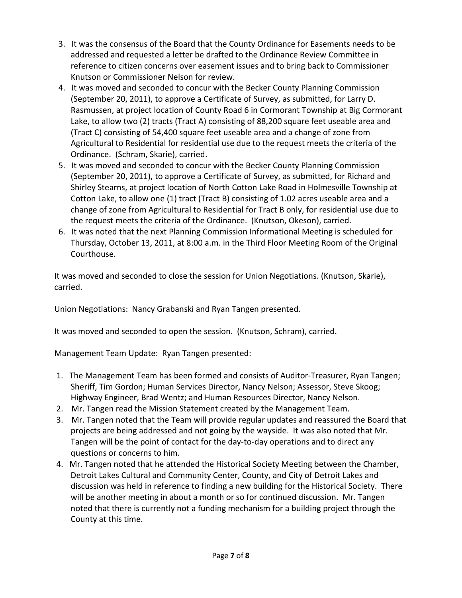- 3. It was the consensus of the Board that the County Ordinance for Easements needs to be addressed and requested a letter be drafted to the Ordinance Review Committee in reference to citizen concerns over easement issues and to bring back to Commissioner Knutson or Commissioner Nelson for review.
- 4. It was moved and seconded to concur with the Becker County Planning Commission (September 20, 2011), to approve a Certificate of Survey, as submitted, for Larry D. Rasmussen, at project location of County Road 6 in Cormorant Township at Big Cormorant Lake, to allow two (2) tracts (Tract A) consisting of 88,200 square feet useable area and (Tract C) consisting of 54,400 square feet useable area and a change of zone from Agricultural to Residential for residential use due to the request meets the criteria of the Ordinance. (Schram, Skarie), carried.
- 5. It was moved and seconded to concur with the Becker County Planning Commission (September 20, 2011), to approve a Certificate of Survey, as submitted, for Richard and Shirley Stearns, at project location of North Cotton Lake Road in Holmesville Township at Cotton Lake, to allow one (1) tract (Tract B) consisting of 1.02 acres useable area and a change of zone from Agricultural to Residential for Tract B only, for residential use due to the request meets the criteria of the Ordinance. (Knutson, Okeson), carried.
- 6. It was noted that the next Planning Commission Informational Meeting is scheduled for Thursday, October 13, 2011, at 8:00 a.m. in the Third Floor Meeting Room of the Original Courthouse.

It was moved and seconded to close the session for Union Negotiations. (Knutson, Skarie), carried.

Union Negotiations: Nancy Grabanski and Ryan Tangen presented.

It was moved and seconded to open the session. (Knutson, Schram), carried.

Management Team Update: Ryan Tangen presented:

- 1. The Management Team has been formed and consists of Auditor-Treasurer, Ryan Tangen; Sheriff, Tim Gordon; Human Services Director, Nancy Nelson; Assessor, Steve Skoog; Highway Engineer, Brad Wentz; and Human Resources Director, Nancy Nelson.
- 2. Mr. Tangen read the Mission Statement created by the Management Team.
- 3. Mr. Tangen noted that the Team will provide regular updates and reassured the Board that projects are being addressed and not going by the wayside. It was also noted that Mr. Tangen will be the point of contact for the day-to-day operations and to direct any questions or concerns to him.
- 4. Mr. Tangen noted that he attended the Historical Society Meeting between the Chamber, Detroit Lakes Cultural and Community Center, County, and City of Detroit Lakes and discussion was held in reference to finding a new building for the Historical Society. There will be another meeting in about a month or so for continued discussion. Mr. Tangen noted that there is currently not a funding mechanism for a building project through the County at this time.